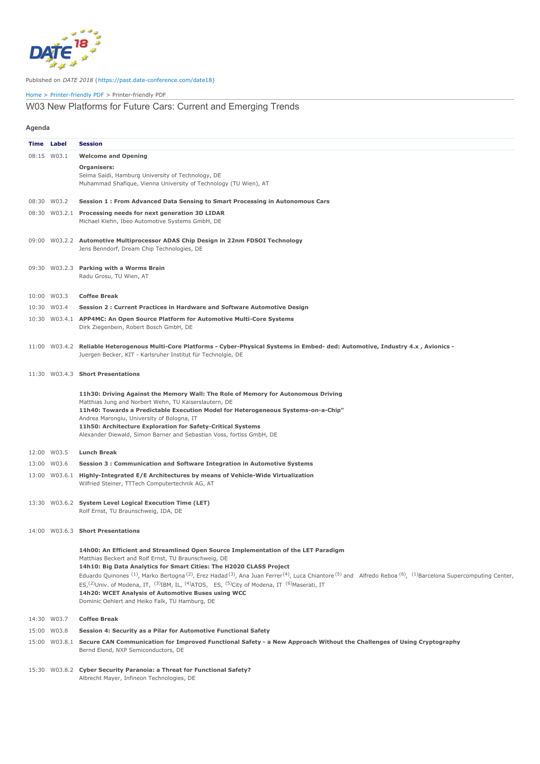

## Published on *DATE 2018* (<https://past.date-conference.com/date18>)

## [Home](https://past.date-conference.com/date18) > [Printer-friendly](https://past.date-conference.com/date18/printpdf) PDF > Printer-friendly PDF

## W03 New Platforms for Future Cars: Current and Emerging Trends

**Agenda**

| . . ອະກາດ |                   |                                                                                                                                                                                                                                                                                                                                                                                                                                                                                                                                                                                                                                                                                                                                        |
|-----------|-------------------|----------------------------------------------------------------------------------------------------------------------------------------------------------------------------------------------------------------------------------------------------------------------------------------------------------------------------------------------------------------------------------------------------------------------------------------------------------------------------------------------------------------------------------------------------------------------------------------------------------------------------------------------------------------------------------------------------------------------------------------|
|           | <b>Time Label</b> | <b>Session</b>                                                                                                                                                                                                                                                                                                                                                                                                                                                                                                                                                                                                                                                                                                                         |
|           | 08:15 W03.1       | <b>Welcome and Opening</b>                                                                                                                                                                                                                                                                                                                                                                                                                                                                                                                                                                                                                                                                                                             |
|           |                   | Organisers:<br>Selma Saidi, Hamburg University of Technology, DE<br>Muhammad Shafique, Vienna University of Technology (TU Wien), AT                                                                                                                                                                                                                                                                                                                                                                                                                                                                                                                                                                                                   |
|           | 08:30 W03.2       | Session 1 : From Advanced Data Sensing to Smart Processing in Autonomous Cars                                                                                                                                                                                                                                                                                                                                                                                                                                                                                                                                                                                                                                                          |
|           |                   | 08:30 W03.2.1 Processing needs for next generation 3D LIDAR<br>Michael Kiehn, Ibeo Automotive Systems GmbH, DE                                                                                                                                                                                                                                                                                                                                                                                                                                                                                                                                                                                                                         |
|           |                   | 09:00 W03.2.2 Automotive Multiprocessor ADAS Chip Design in 22nm FDSOI Technology<br>Jens Benndorf, Dream Chip Technologies, DE                                                                                                                                                                                                                                                                                                                                                                                                                                                                                                                                                                                                        |
|           |                   | 09:30 W03.2.3 Parking with a Worms Brain<br>Radu Grosu, TU Wien, AT                                                                                                                                                                                                                                                                                                                                                                                                                                                                                                                                                                                                                                                                    |
|           | 10:00 W03.3       | <b>Coffee Break</b>                                                                                                                                                                                                                                                                                                                                                                                                                                                                                                                                                                                                                                                                                                                    |
|           | 10:30 W03.4       | Session 2 : Current Practices in Hardware and Software Automotive Design                                                                                                                                                                                                                                                                                                                                                                                                                                                                                                                                                                                                                                                               |
|           |                   | 10:30 W03.4.1 APP4MC: An Open Source Platform for Automotive Multi-Core Systems<br>Dirk Ziegenbein, Robert Bosch GmbH, DE                                                                                                                                                                                                                                                                                                                                                                                                                                                                                                                                                                                                              |
|           |                   | 11:00 W03.4.2 Reliable Heterogenous Multi-Core Platforms - Cyber-Physical Systems in Embed- ded: Automotive, Industry 4.x, Avionics -<br>Juergen Becker, KIT - Karlsruher Institut für Technolgie, DE                                                                                                                                                                                                                                                                                                                                                                                                                                                                                                                                  |
|           |                   | 11:30 W03.4.3 Short Presentations                                                                                                                                                                                                                                                                                                                                                                                                                                                                                                                                                                                                                                                                                                      |
|           |                   | 11h30: Driving Against the Memory Wall: The Role of Memory for Autonomous Driving<br>Matthias Jung and Norbert Wehn, TU Kaiserslautern, DE<br>11h40: Towards a Predictable Execution Model for Heterogeneous Systems-on-a-Chip"<br>Andrea Marongiu, University of Bologna, IT<br>11h50: Architecture Exploration for Safety-Critical Systems<br>Alexander Diewald, Simon Barner and Sebastian Voss, fortiss GmbH, DE                                                                                                                                                                                                                                                                                                                   |
|           | 12:00 W03.5       | <b>Lunch Break</b>                                                                                                                                                                                                                                                                                                                                                                                                                                                                                                                                                                                                                                                                                                                     |
|           | 13:00 W03.6       | Session 3 : Communication and Software Integration in Automotive Systems                                                                                                                                                                                                                                                                                                                                                                                                                                                                                                                                                                                                                                                               |
|           |                   | 13:00 W03.6.1 Highly-Integrated E/E Architectures by means of Vehicle-Wide Virtualization<br>Wilfried Steiner, TTTech Computertechnik AG, AT                                                                                                                                                                                                                                                                                                                                                                                                                                                                                                                                                                                           |
|           |                   | 13:30 W03.6.2 System Level Logical Execution Time (LET)<br>Rolf Ernst, TU Braunschweig, IDA, DE                                                                                                                                                                                                                                                                                                                                                                                                                                                                                                                                                                                                                                        |
|           |                   | 14:00 W03.6.3 Short Presentations                                                                                                                                                                                                                                                                                                                                                                                                                                                                                                                                                                                                                                                                                                      |
|           |                   | 14h00: An Efficient and Streamlined Open Source Implementation of the LET Paradigm<br>Matthias Beckert and Rolf Ernst, TU Braunschweig, DE<br>14h10: Big Data Analytics for Smart Cities: The H2020 CLASS Project<br>Eduardo Quinones <sup>(1)</sup> , Marko Bertogna <sup>(2)</sup> , Erez Hadad <sup>(3)</sup> , Ana Juan Ferrer <sup>(4)</sup> , Luca Chiantore <sup>(5)</sup> and Alfredo Reboa <sup>(6)</sup> , <sup>(1)</sup> Barcelona Supercomputing Center,<br>ES, <sup>(2)</sup> Univ. of Modena, IT, <sup>(3)</sup> IBM, IL, <sup>(4)</sup> ATOS, ES, <sup>(5)</sup> City of Modena, IT <sup>(6)</sup> Maserati, IT<br>14h20: WCET Analysis of Automotive Buses using WCC<br>Dominic Oehlert and Heiko Falk, TU Hamburg, DE |
|           | 14:30 W03.7       | <b>Coffee Break</b>                                                                                                                                                                                                                                                                                                                                                                                                                                                                                                                                                                                                                                                                                                                    |
|           | 15:00 W03.8       | Session 4: Security as a Pilar for Automotive Functional Safety                                                                                                                                                                                                                                                                                                                                                                                                                                                                                                                                                                                                                                                                        |
|           |                   | 15:00 W03.8.1 Secure CAN Communication for Improved Functional Safety - a New Approach Without the Challenges of Using Cryptography<br>Bernd Elend, NXP Semiconductors, DE                                                                                                                                                                                                                                                                                                                                                                                                                                                                                                                                                             |
|           |                   |                                                                                                                                                                                                                                                                                                                                                                                                                                                                                                                                                                                                                                                                                                                                        |

15:30 W03.8.2 **Cyber Security Paranoia: a Threat for Functional Safety?** Albrecht Mayer, Infineon Technologies, DE